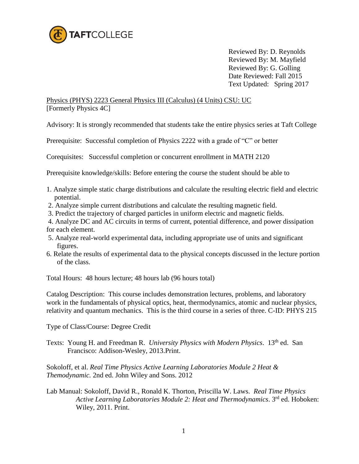

 Reviewed By: D. Reynolds Reviewed By: M. Mayfield Reviewed By: G. Golling Date Reviewed: Fall 2015 Text Updated: Spring 2017

Physics (PHYS) 2223 General Physics III (Calculus) (4 Units) CSU: UC [Formerly Physics 4C]

Advisory: It is strongly recommended that students take the entire physics series at Taft College

Prerequisite: Successful completion of Physics 2222 with a grade of "C" or better

Corequisites: Successful completion or concurrent enrollment in MATH 2120

Prerequisite knowledge/skills: Before entering the course the student should be able to

- 1. Analyze simple static charge distributions and calculate the resulting electric field and electric potential.
- 2. Analyze simple current distributions and calculate the resulting magnetic field.
- 3. Predict the trajectory of charged particles in uniform electric and magnetic fields.
- 4. Analyze DC and AC circuits in terms of current, potential difference, and power dissipation for each element.
- 5. Analyze real-world experimental data, including appropriate use of units and significant figures.
- 6. Relate the results of experimental data to the physical concepts discussed in the lecture portion of the class.

Total Hours: 48 hours lecture; 48 hours lab (96 hours total)

Catalog Description: This course includes demonstration lectures, problems, and laboratory work in the fundamentals of physical optics, heat, thermodynamics, atomic and nuclear physics, relativity and quantum mechanics. This is the third course in a series of three. C-ID: PHYS 215

Type of Class/Course: Degree Credit

Texts: Young H. and Freedman R. *University Physics with Modern Physics*. 13<sup>th</sup> ed. San Francisco: Addison-Wesley, 2013.Print.

Sokoloff, et al. *Real Time Physics Active Learning Laboratories Module 2 Heat & Themodynamic.* 2nd ed. John Wiley and Sons. 2012

Lab Manual: Sokoloff, David R., Ronald K. Thorton, Priscilla W. Laws. *Real Time Physics Active Learning Laboratories Module 2: Heat and Thermodynamics*. 3rd ed. Hoboken: Wiley, 2011. Print.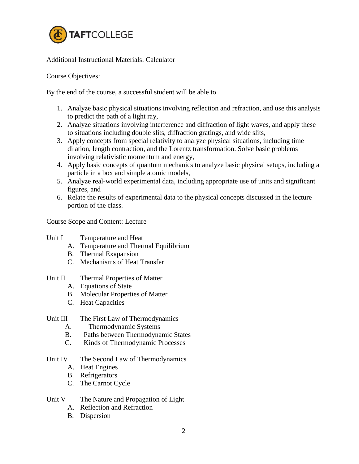

Additional Instructional Materials: Calculator

Course Objectives:

By the end of the course, a successful student will be able to

- 1. Analyze basic physical situations involving reflection and refraction, and use this analysis to predict the path of a light ray,
- 2. Analyze situations involving interference and diffraction of light waves, and apply these to situations including double slits, diffraction gratings, and wide slits,
- 3. Apply concepts from special relativity to analyze physical situations, including time dilation, length contraction, and the Lorentz transformation. Solve basic problems involving relativistic momentum and energy,
- 4. Apply basic concepts of quantum mechanics to analyze basic physical setups, including a particle in a box and simple atomic models,
- 5. Analyze real-world experimental data, including appropriate use of units and significant figures, and
- 6. Relate the results of experimental data to the physical concepts discussed in the lecture portion of the class.

Course Scope and Content: Lecture

- Unit I Temperature and Heat
	- A. Temperature and Thermal Equilibrium
	- B. Thermal Exapansion
	- C. Mechanisms of Heat Transfer
- Unit II Thermal Properties of Matter
	- A. Equations of State
	- B. Molecular Properties of Matter
	- C. Heat Capacities

#### Unit III The First Law of Thermodynamics

- A. Thermodynamic Systems
- B. Paths between Thermodynamic States
- C. Kinds of Thermodynamic Processes

### Unit IV The Second Law of Thermodynamics

- A. Heat Engines
- B. Refrigerators
- C. The Carnot Cycle

### Unit V The Nature and Propagation of Light

- A. Reflection and Refraction
- B. Dispersion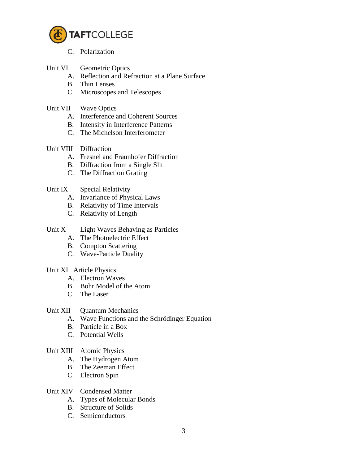

- C. Polarization
- Unit VI Geometric Optics
	- A. Reflection and Refraction at a Plane Surface
	- B. Thin Lenses
	- C. Microscopes and Telescopes
- Unit VII Wave Optics
	- A. Interference and Coherent Sources
	- B. Intensity in Interference Patterns
	- C. The Michelson Interferometer
- Unit VIII Diffraction
	- A. Fresnel and Fraunhofer Diffraction
	- B. Diffraction from a Single Slit
	- C. The Diffraction Grating

## Unit IX Special Relativity

- A. Invariance of Physical Laws
- B. Relativity of Time Intervals
- C. Relativity of Length
- Unit X Light Waves Behaving as Particles
	- A. The Photoelectric Effect
	- B. Compton Scattering
	- C. Wave-Particle Duality

### Unit XI Article Physics

- A. Electron Waves
- B. Bohr Model of the Atom
- C. The Laser
- Unit XII Ouantum Mechanics
	- A. Wave Functions and the Schrödinger Equation
	- B. Particle in a Box
	- C. Potential Wells

### Unit XIII Atomic Physics

- A. The Hydrogen Atom
- B. The Zeeman Effect
- C. Electron Spin
- Unit XIV Condensed Matter
	- A. Types of Molecular Bonds
	- B. Structure of Solids
	- C. Semiconductors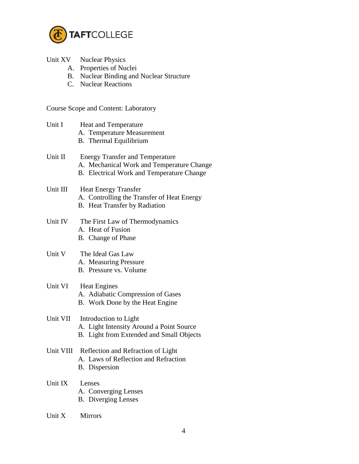

| Unit XV | <b>Nuclear Physics</b> |  |
|---------|------------------------|--|
|---------|------------------------|--|

- A. Properties of Nuclei
- B. Nuclear Binding and Nuclear Structure
- C. Nuclear Reactions

Course Scope and Content: Laboratory

| Unit I   | Heat and Temperature<br>A. Temperature Measurement<br>B. Thermal Equilibrium                                                            |
|----------|-----------------------------------------------------------------------------------------------------------------------------------------|
| Unit II  | <b>Energy Transfer and Temperature</b><br>A. Mechanical Work and Temperature Change<br><b>B.</b> Electrical Work and Temperature Change |
| Unit III | <b>Heat Energy Transfer</b><br>A. Controlling the Transfer of Heat Energy<br>B. Heat Transfer by Radiation                              |
| Unit IV  | The First Law of Thermodynamics<br>A. Heat of Fusion<br>B. Change of Phase                                                              |
| Unit V   | The Ideal Gas Law<br>A. Measuring Pressure<br>B. Pressure vs. Volume                                                                    |
| Unit VI  | <b>Heat Engines</b><br>A. Adiabatic Compression of Gases<br>B. Work Done by the Heat Engine                                             |
| Unit VII | Introduction to Light<br>A. Light Intensity Around a Point Source<br>B. Light from Extended and Small Objects                           |
|          | Unit VIII Reflection and Refraction of Light<br>A. Laws of Reflection and Refraction<br>B. Dispersion                                   |
| Unit IX  | Lenses<br>A. Converging Lenses<br><b>B.</b> Diverging Lenses                                                                            |

Unit X Mirrors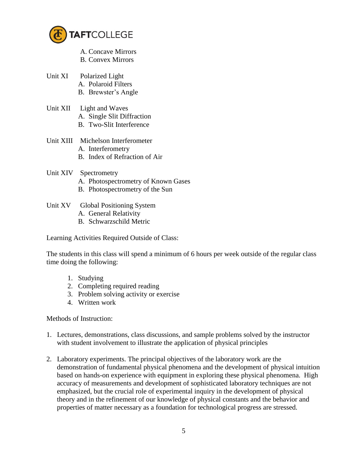

- A. Concave Mirrors B. Convex Mirrors
- 
- Unit XI Polarized Light A. Polaroid Filters
	- B. Brewster's Angle
- Unit XII Light and Waves A. Single Slit Diffraction
	- B. Two-Slit Interference
- Unit XIII Michelson Interferometer A. Interferometry
	- B. Index of Refraction of Air
- Unit XIV Spectrometry
	- A. Photospectrometry of Known Gases
	- B. Photospectrometry of the Sun

# Unit XV Global Positioning System

- A. General Relativity
- B. Schwarzschild Metric

Learning Activities Required Outside of Class:

The students in this class will spend a minimum of 6 hours per week outside of the regular class time doing the following:

- 1. Studying
- 2. Completing required reading
- 3. Problem solving activity or exercise
- 4. Written work

Methods of Instruction:

- 1. Lectures, demonstrations, class discussions, and sample problems solved by the instructor with student involvement to illustrate the application of physical principles
- 2. Laboratory experiments. The principal objectives of the laboratory work are the demonstration of fundamental physical phenomena and the development of physical intuition based on hands-on experience with equipment in exploring these physical phenomena. High accuracy of measurements and development of sophisticated laboratory techniques are not emphasized, but the crucial role of experimental inquiry in the development of physical theory and in the refinement of our knowledge of physical constants and the behavior and properties of matter necessary as a foundation for technological progress are stressed.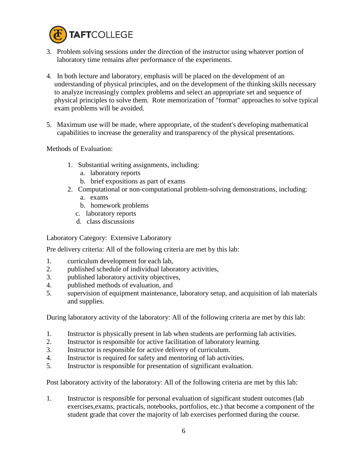

- 3. Problem solving sessions under the direction of the instructor using whatever portion of laboratory time remains after performance of the experiments.
- 4. In both lecture and laboratory, emphasis will be placed on the development of an understanding of physical principles, and on the development of the thinking skills necessary to analyze increasingly complex problems and select an appropriate set and sequence of physical principles to solve them. Rote memorization of "format" approaches to solve typical exam problems will be avoided.
- 5. Maximum use will be made, where appropriate, of the student's developing mathematical capabilities to increase the generality and transparency of the physical presentations.

Methods of Evaluation:

- 1. Substantial writing assignments, including:
	- a. laboratory reports
	- b. brief expositions as part of exams
- 2. Computational or non-computational problem-solving demonstrations, including:
	- a. exams
	- b. homework problems
	- c. laboratory reports
	- d. class discussions

Laboratory Category: Extensive Laboratory

Pre delivery criteria: All of the following criteria are met by this lab:

- 1. curriculum development for each lab,
- 2. published schedule of individual laboratory activities,
- 3. published laboratory activity objectives,
- 4. published methods of evaluation, and
- 5. supervision of equipment maintenance, laboratory setup, and acquisition of lab materials and supplies.

During laboratory activity of the laboratory: All of the following criteria are met by this lab:

- 1. Instructor is physically present in lab when students are performing lab activities.
- 2. Instructor is responsible for active facilitation of laboratory learning.
- 3. Instructor is responsible for active delivery of curriculum.
- 4. Instructor is required for safety and mentoring of lab activities.
- 5. Instructor is responsible for presentation of significant evaluation.

Post laboratory activity of the laboratory: All of the following criteria are met by this lab:

1. Instructor is responsible for personal evaluation of significant student outcomes (lab exercises,exams, practicals, notebooks, portfolios, etc.) that become a component of the student grade that cover the majority of lab exercises performed during the course.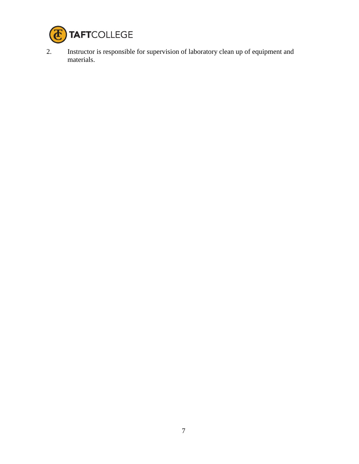

2. Instructor is responsible for supervision of laboratory clean up of equipment and materials.